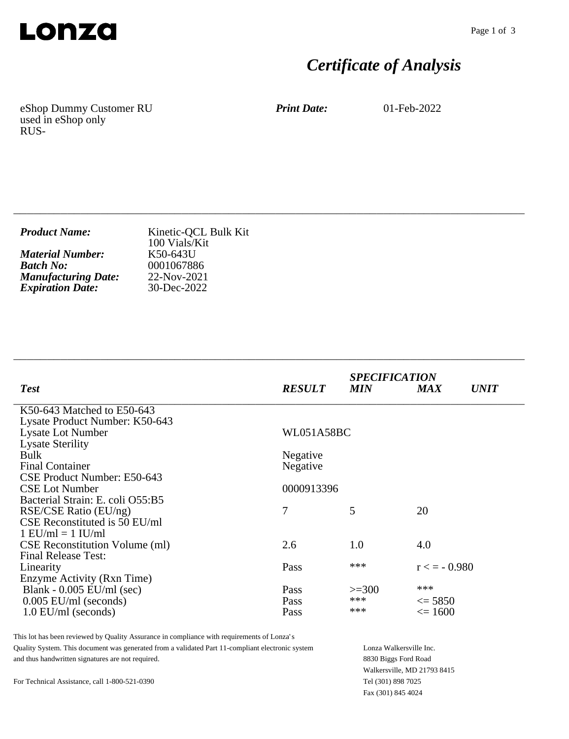

# *Certificate of Analysis*

eShop Dummy Customer RU used in eShop only RUS-

*Print Date:* 01-Feb-2022

| <b>Product Name:</b>       | Kinetic-QCL Bulk Kit<br>100 Vials/Kit |
|----------------------------|---------------------------------------|
| <b>Material Number:</b>    | K50-643U                              |
| <b>Batch No:</b>           | 0001067886                            |
| <b>Manufacturing Date:</b> | 22-Nov-2021                           |
| <b>Expiration Date:</b>    | 30-Dec-2022                           |

\_\_\_\_\_\_\_\_\_\_\_\_\_\_\_\_\_\_\_\_\_\_\_\_\_\_\_\_\_\_\_\_\_\_\_\_\_\_\_\_\_\_\_\_\_\_\_\_\_\_\_\_\_\_\_\_\_\_\_\_\_\_\_\_\_\_\_\_\_\_\_\_\_\_\_\_

\_\_\_\_\_\_\_\_\_\_\_\_\_\_\_\_\_\_\_\_\_\_\_\_\_\_\_\_\_\_\_\_\_\_\_\_\_\_\_\_\_\_\_\_\_\_\_\_\_\_\_\_\_\_\_\_\_\_\_\_\_\_\_\_\_\_\_\_\_\_\_\_\_\_\_\_

| <b>Test</b>                           | <b>RESULT</b>     | <b>SPECIFICATION</b><br><b>MIN</b> | <b>MAX</b>      | <i><b>UNIT</b></i> |
|---------------------------------------|-------------------|------------------------------------|-----------------|--------------------|
| K50-643 Matched to E50-643            |                   |                                    |                 |                    |
| Lysate Product Number: K50-643        |                   |                                    |                 |                    |
| <b>Lysate Lot Number</b>              | <b>WL051A58BC</b> |                                    |                 |                    |
| <b>Lysate Sterility</b>               |                   |                                    |                 |                    |
| <b>Bulk</b>                           | Negative          |                                    |                 |                    |
| <b>Final Container</b>                | Negative          |                                    |                 |                    |
| CSE Product Number: E50-643           |                   |                                    |                 |                    |
| <b>CSE Lot Number</b>                 | 0000913396        |                                    |                 |                    |
| Bacterial Strain: E. coli O55:B5      |                   |                                    |                 |                    |
| RSE/CSE Ratio (EU/ng)                 | 7                 | 5                                  | 20              |                    |
| CSE Reconstituted is 50 EU/ml         |                   |                                    |                 |                    |
| $1$ EU/ml = $1$ IU/ml                 |                   |                                    |                 |                    |
| <b>CSE</b> Reconstitution Volume (ml) | 2.6               | 1.0                                | 4.0             |                    |
| <b>Final Release Test:</b>            |                   |                                    |                 |                    |
| Linearity                             | Pass              | ***                                | $r \leq -0.980$ |                    |
| Enzyme Activity (Rxn Time)            |                   |                                    |                 |                    |
| Blank - $0.005$ EU/ml (sec)           | Pass              | $>=300$                            | ***             |                    |
| $0.005$ EU/ml (seconds)               | <b>Pass</b>       | ***                                | $\leq$ 5850     |                    |
| $1.0$ EU/ml (seconds)                 | Pass              | ***                                | $\leq 1600$     |                    |

This lot has been reviewed by Quality Assurance in compliance with requirements of Lonza's Quality System. This document was generated from a validated Part 11-compliant electronic system and thus handwritten signatures are not required.

Lonza Walkersville Inc. 8830 Biggs Ford Road Walkersville, MD 21793 8415 Tel (301) 898 7025 Fax (301) 845 4024

For Technical Assistance, call 1-800-521-0390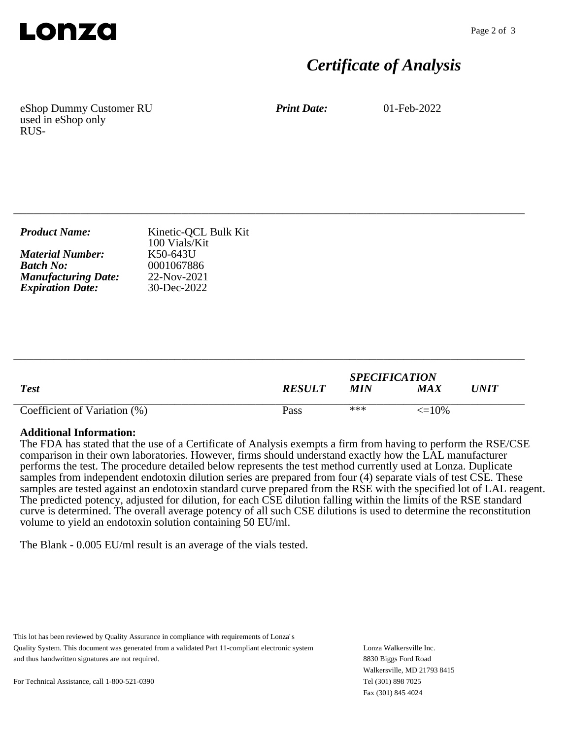

## *Certificate of Analysis*

eShop Dummy Customer RU used in eShop only RUS-

*Print Date:* 01-Feb-2022

| <b>Product Name:</b>       | Kinetic-QCL Bulk Kit<br>100 Vials/Kit |
|----------------------------|---------------------------------------|
| <b>Material Number:</b>    | K50-643U                              |
| <b>Batch No:</b>           | 0001067886                            |
| <b>Manufacturing Date:</b> | 22-Nov-2021                           |
| <b>Expiration Date:</b>    | $30 - Dec - 2022$                     |

\_\_\_\_\_\_\_\_\_\_\_\_\_\_\_\_\_\_\_\_\_\_\_\_\_\_\_\_\_\_\_\_\_\_\_\_\_\_\_\_\_\_\_\_\_\_\_\_\_\_\_\_\_\_\_\_\_\_\_\_\_\_\_\_\_\_\_\_\_\_\_\_\_\_\_\_

|                              |               | <b>SPECIFICATION</b> |              |             |
|------------------------------|---------------|----------------------|--------------|-------------|
| <b>Test</b>                  | <b>RESULT</b> | MIN                  | MAX          | $\bm{UNIT}$ |
| Coefficient of Variation (%) | Pass          | ***                  | $\leq$ = 10% |             |

\_\_\_\_\_\_\_\_\_\_\_\_\_\_\_\_\_\_\_\_\_\_\_\_\_\_\_\_\_\_\_\_\_\_\_\_\_\_\_\_\_\_\_\_\_\_\_\_\_\_\_\_\_\_\_\_\_\_\_\_\_\_\_\_\_\_\_\_\_\_\_\_\_\_\_\_

#### **Additional Information:**

The FDA has stated that the use of a Certificate of Analysis exempts a firm from having to perform the RSE/CSE comparison in their own laboratories. However, firms should understand exactly how the LAL manufacturer performs the test. The procedure detailed below represents the test method currently used at Lonza. Duplicate samples from independent endotoxin dilution series are prepared from four (4) separate vials of test CSE. These samples are tested against an endotoxin standard curve prepared from the RSE with the specified lot of LAL reagent. The predicted potency, adjusted for dilution, for each CSE dilution falling within the limits of the RSE standard curve is determined. The overall average potency of all such CSE dilutions is used to determine the reconstitution volume to yield an endotoxin solution containing 50 EU/ml.

The Blank - 0.005 EU/ml result is an average of the vials tested.

This lot has been reviewed by Quality Assurance in compliance with requirements of Lonza's Quality System. This document was generated from a validated Part 11-compliant electronic system and thus handwritten signatures are not required.

Lonza Walkersville Inc. 8830 Biggs Ford Road Walkersville, MD 21793 8415 Tel (301) 898 7025 Fax (301) 845 4024

For Technical Assistance, call 1-800-521-0390